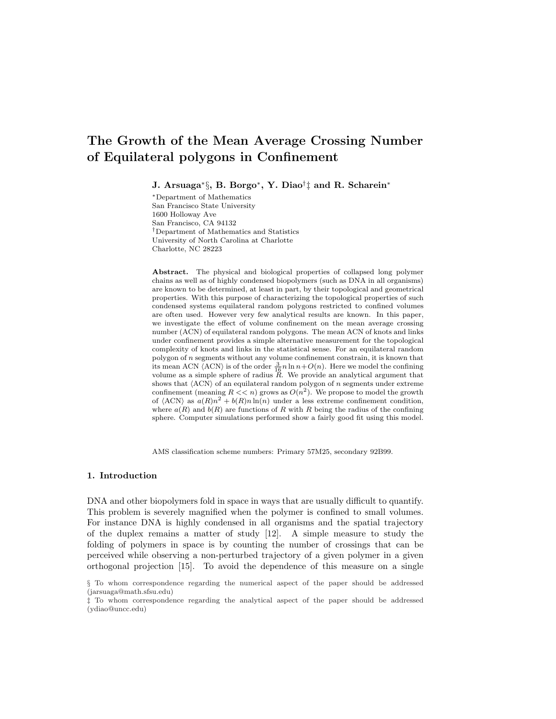# The Growth of the Mean Average Crossing Number of Equilateral polygons in Confinement

J. Arsuaga<sup>∗</sup> §, B. Borgo<sup>∗</sup> , Y. Diao† ‡ and R. Scharein<sup>∗</sup>

<sup>∗</sup>Department of Mathematics San Francisco State University 1600 Holloway Ave San Francisco, CA 94132 †Department of Mathematics and Statistics University of North Carolina at Charlotte Charlotte, NC 28223

Abstract. The physical and biological properties of collapsed long polymer chains as well as of highly condensed biopolymers (such as DNA in all organisms) are known to be determined, at least in part, by their topological and geometrical properties. With this purpose of characterizing the topological properties of such condensed systems equilateral random polygons restricted to confined volumes are often used. However very few analytical results are known. In this paper, we investigate the effect of volume confinement on the mean average crossing number (ACN) of equilateral random polygons. The mean ACN of knots and links under confinement provides a simple alternative measurement for the topological complexity of knots and links in the statistical sense. For an equilateral random polygon of  $n$  segments without any volume confinement constrain, it is known that its mean ACN  $\overline{\langle}$  ACN $\rangle$  is of the order  $\frac{3}{16}n\ln n+O(n)$ . Here we model the confining volume as a simple sphere of radius R. We provide an analytical argument that shows that  $\langle \text{ACN} \rangle$  of an equilateral random polygon of n segments under extreme confinement (meaning  $R \ll n$ ) grows as  $O(n^2)$ . We propose to model the growth of  $\langle \text{ACN} \rangle$  as  $a(R)n^2 + b(R)n \ln(n)$  under a less extreme confinement condition, where  $a(R)$  and  $b(R)$  are functions of R with R being the radius of the confining sphere. Computer simulations performed show a fairly good fit using this model.

AMS classification scheme numbers: Primary 57M25, secondary 92B99.

#### 1. Introduction

DNA and other biopolymers fold in space in ways that are usually difficult to quantify. This problem is severely magnified when the polymer is confined to small volumes. For instance DNA is highly condensed in all organisms and the spatial trajectory of the duplex remains a matter of study [12]. A simple measure to study the folding of polymers in space is by counting the number of crossings that can be perceived while observing a non-perturbed trajectory of a given polymer in a given orthogonal projection [15]. To avoid the dependence of this measure on a single

<sup>§</sup> To whom correspondence regarding the numerical aspect of the paper should be addressed (jarsuaga@math.sfsu.edu)

<sup>‡</sup> To whom correspondence regarding the analytical aspect of the paper should be addressed (ydiao@uncc.edu)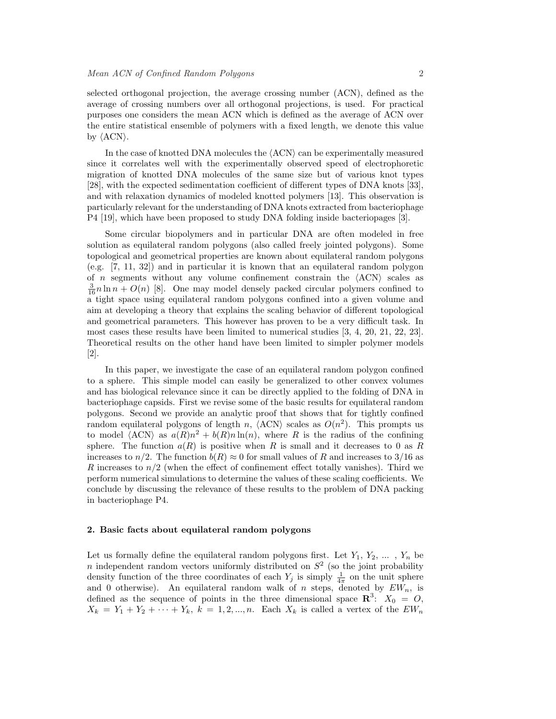selected orthogonal projection, the average crossing number (ACN), defined as the average of crossing numbers over all orthogonal projections, is used. For practical purposes one considers the mean ACN which is defined as the average of ACN over the entire statistical ensemble of polymers with a fixed length, we denote this value by  $\langle \text{ACN} \rangle$ .

In the case of knotted DNA molecules the  $\langle \text{ACN} \rangle$  can be experimentally measured since it correlates well with the experimentally observed speed of electrophoretic migration of knotted DNA molecules of the same size but of various knot types [28], with the expected sedimentation coefficient of different types of DNA knots [33], and with relaxation dynamics of modeled knotted polymers [13]. This observation is particularly relevant for the understanding of DNA knots extracted from bacteriophage P4 [19], which have been proposed to study DNA folding inside bacteriopages [3].

Some circular biopolymers and in particular DNA are often modeled in free solution as equilateral random polygons (also called freely jointed polygons). Some topological and geometrical properties are known about equilateral random polygons (e.g. [7, 11, 32]) and in particular it is known that an equilateral random polygon of n segments without any volume confinement constrain the  $\langle \text{ACN} \rangle$  scales as  $\frac{3}{16}n\ln n + O(n)$  [8]. One may model densely packed circular polymers confined to a tight space using equilateral random polygons confined into a given volume and aim at developing a theory that explains the scaling behavior of different topological and geometrical parameters. This however has proven to be a very difficult task. In most cases these results have been limited to numerical studies [3, 4, 20, 21, 22, 23]. Theoretical results on the other hand have been limited to simpler polymer models [2].

In this paper, we investigate the case of an equilateral random polygon confined to a sphere. This simple model can easily be generalized to other convex volumes and has biological relevance since it can be directly applied to the folding of DNA in bacteriophage capsids. First we revise some of the basic results for equilateral random polygons. Second we provide an analytic proof that shows that for tightly confined random equilateral polygons of length n,  $\langle \text{ACN} \rangle$  scales as  $O(n^2)$ . This prompts us to model  $\langle \text{ACN} \rangle$  as  $a(R)n^2 + b(R)n \ln(n)$ , where R is the radius of the confining sphere. The function  $a(R)$  is positive when R is small and it decreases to 0 as R increases to  $n/2$ . The function  $b(R) \approx 0$  for small values of R and increases to 3/16 as R increases to  $n/2$  (when the effect of confinement effect totally vanishes). Third we perform numerical simulations to determine the values of these scaling coefficients. We conclude by discussing the relevance of these results to the problem of DNA packing in bacteriophage P4.

## 2. Basic facts about equilateral random polygons

Let us formally define the equilateral random polygons first. Let  $Y_1, Y_2, \ldots, Y_n$  be *n* independent random vectors uniformly distributed on  $S<sup>2</sup>$  (so the joint probability density function of the three coordinates of each  $Y_j$  is simply  $\frac{1}{4\pi}$  on the unit sphere and 0 otherwise). An equilateral random walk of n steps, denoted by  $EW_n$ , is defined as the sequence of points in the three dimensional space  $\mathbb{R}^3$ :  $X_0 = 0$ ,  $X_k = Y_1 + Y_2 + \cdots + Y_k, \ k = 1, 2, ..., n.$  Each  $X_k$  is called a vertex of the  $EW_n$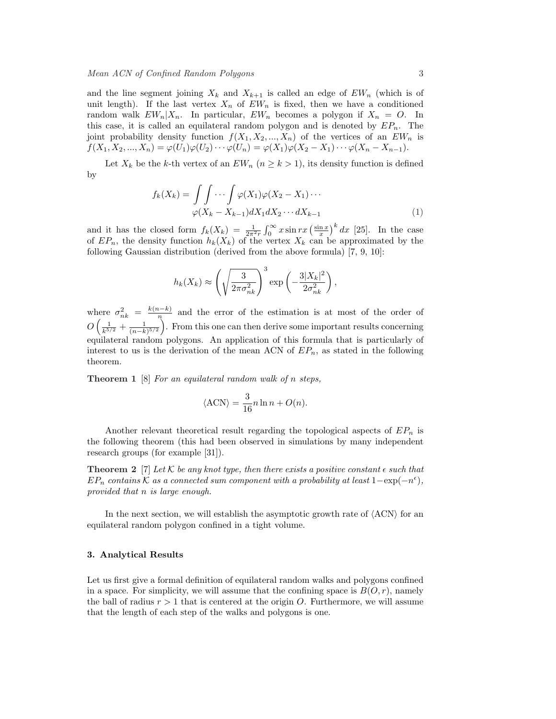and the line segment joining  $X_k$  and  $X_{k+1}$  is called an edge of  $EW_n$  (which is of unit length). If the last vertex  $X_n$  of  $EW_n$  is fixed, then we have a conditioned random walk  $EW_n|X_n$ . In particular,  $EW_n$  becomes a polygon if  $X_n = O$ . In this case, it is called an equilateral random polygon and is denoted by  $EP_n$ . The joint probability density function  $f(X_1, X_2, ..., X_n)$  of the vertices of an  $EW_n$  is  $f(X_1, X_2, ..., X_n) = \varphi(U_1)\varphi(U_2)\cdots\varphi(U_n) = \varphi(X_1)\varphi(X_2 - X_1)\cdots\varphi(X_n - X_{n-1}).$ 

Let  $X_k$  be the k-th vertex of an  $EW_n$   $(n \geq k > 1)$ , its density function is defined by

$$
f_k(X_k) = \int \int \cdots \int \varphi(X_1)\varphi(X_2 - X_1) \cdots
$$

$$
\varphi(X_k - X_{k-1})dX_1dX_2 \cdots dX_{k-1}
$$
(1)

and it has the closed form  $f_k(X_k) = \frac{1}{2\pi^2 r}$  $r^{\infty}$  $\int_0^\infty x \sin rx \left( \frac{\sin x}{x} \right)$  $\int^k dx$  [25]. In the case of  $EP_n$ , the density function  $h_k(X_k)$  of the vertex  $X_k$  can be approximated by the following Gaussian distribution (derived from the above formula) [7, 9, 10]:

$$
h_k(X_k) \approx \left(\sqrt{\frac{3}{2\pi\sigma_{nk}^2}}\right)^3 \exp\left(-\frac{3|X_k|^2}{2\sigma_{nk}^2}\right),\,
$$

where  $\sigma_{nk}^2 = \frac{k(n-k)}{n}$ here  $\sigma_{nk}^2 = \frac{k(n-k)}{n}$  and the error of the estimation is at most of the order of  $O\left(\frac{1}{k^{5/2}}+\frac{1}{(n-k)^{5/2}}\right)$ . From this one can then derive some important results concerning equilateral random polygons. An application of this formula that is particularly of interest to us is the derivation of the mean ACN of  $EP_n$ , as stated in the following theorem.

**Theorem 1** [8] For an equilateral random walk of n steps,

$$
\langle \text{ACN} \rangle = \frac{3}{16} n \ln n + O(n).
$$

Another relevant theoretical result regarding the topological aspects of  $EP_n$  is the following theorem (this had been observed in simulations by many independent research groups (for example [31]).

**Theorem 2** [7] Let K be any knot type, then there exists a positive constant  $\epsilon$  such that  $EP_n$  contains K as a connected sum component with a probability at least  $1-\exp(-n^{\epsilon}),$ provided that n is large enough.

In the next section, we will establish the asymptotic growth rate of  $\langle \text{ACN} \rangle$  for an equilateral random polygon confined in a tight volume.

#### 3. Analytical Results

Let us first give a formal definition of equilateral random walks and polygons confined in a space. For simplicity, we will assume that the confining space is  $B(O, r)$ , namely the ball of radius  $r > 1$  that is centered at the origin O. Furthermore, we will assume that the length of each step of the walks and polygons is one.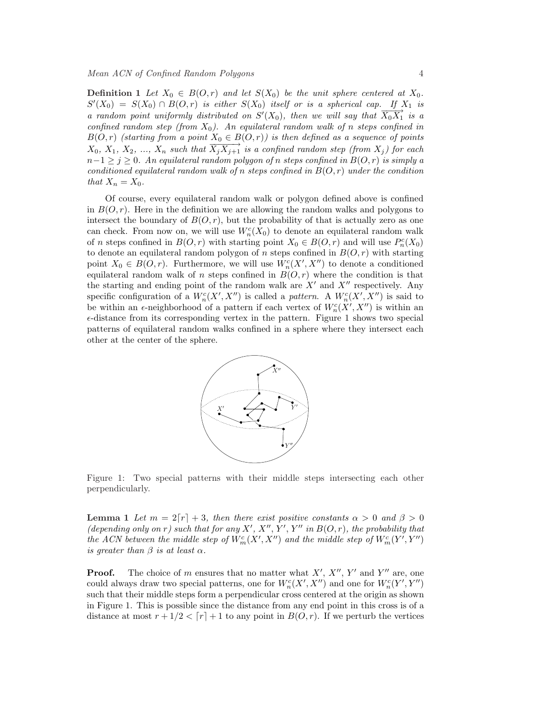**Definition 1** Let  $X_0 \in B(0,r)$  and let  $S(X_0)$  be the unit sphere centered at  $X_0$ .  $S'(X_0) = S(X_0) \cap B(0,r)$  is either  $S(X_0)$  itself or is a spherical cap. If  $X_1$  is a random point uniformly distributed on  $S'(X_0)$ , then we will say that  $\overline{X_0 X_1}^*$  is a confined random step (from  $X_0$ ). An equilateral random walk of n steps confined in  $B(O,r)$  (starting from a point  $X_0 \in B(O,r)$ ) is then defined as a sequence of points  $X_0, X_1, X_2, ..., X_n$  such that  $\overrightarrow{X_j X_{j+1}}$  is a confined random step (from  $X_j$ ) for each  $n-1 \geq j \geq 0$ . An equilateral random polygon of n steps confined in  $B(O,r)$  is simply a conditioned equilateral random walk of n steps confined in  $B(O, r)$  under the condition that  $X_n = X_0$ .

Of course, every equilateral random walk or polygon defined above is confined in  $B(O, r)$ . Here in the definition we are allowing the random walks and polygons to intersect the boundary of  $B(O, r)$ , but the probability of that is actually zero as one can check. From now on, we will use  $W_n^c(X_0)$  to denote an equilateral random walk of *n* steps confined in  $B(O, r)$  with starting point  $X_0 \in B(O, r)$  and will use  $P_n^c(X_0)$ to denote an equilateral random polygon of n steps confined in  $B(O, r)$  with starting point  $X_0 \in B(0,r)$ . Furthermore, we will use  $W_n^c(X', X'')$  to denote a conditioned equilateral random walk of n steps confined in  $B(O, r)$  where the condition is that the starting and ending point of the random walk are  $X'$  and  $X''$  respectively. Any specific configuration of a  $W_n^c(X', X'')$  is called a pattern. A  $W_n^c(X', X'')$  is said to be within an  $\epsilon$ -neighborhood of a pattern if each vertex of  $W_n^c(X', X'')$  is within an  $\epsilon$ -distance from its corresponding vertex in the pattern. Figure 1 shows two special patterns of equilateral random walks confined in a sphere where they intersect each other at the center of the sphere.



Figure 1: Two special patterns with their middle steps intersecting each other perpendicularly.

**Lemma** 1 Let  $m = 2[r] + 3$ , then there exist positive constants  $\alpha > 0$  and  $\beta > 0$ (depending only on r) such that for any X', X'', Y'', Y'' in  $B(O, r)$ , the probability that the ACN between the middle step of  $W^c_m(X', X'')$  and the middle step of  $W^c_m(Y', Y'')$ is greater than  $\beta$  is at least  $\alpha$ .

**Proof.** The choice of m ensures that no matter what  $X'$ ,  $X''$ ,  $Y'$  and  $Y''$  are, one could always draw two special patterns, one for  $W_n^c(X', X'')$  and one for  $W_n^c(Y', Y'')$ such that their middle steps form a perpendicular cross centered at the origin as shown in Figure 1. This is possible since the distance from any end point in this cross is of a distance at most  $r + 1/2 < [r] + 1$  to any point in  $B(O, r)$ . If we perturb the vertices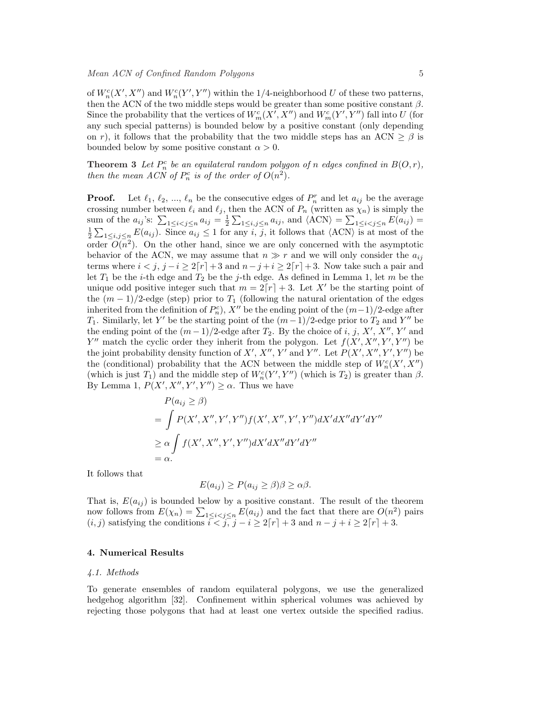of  $W_n^c(X', X'')$  and  $W_n^c(Y', Y'')$  within the 1/4-neighborhood U of these two patterns, then the ACN of the two middle steps would be greater than some positive constant  $\beta$ . Since the probability that the vertices of  $W_m^c(X', X'')$  and  $W_m^c(Y', Y'')$  fall into U (for any such special patterns) is bounded below by a positive constant (only depending on r), it follows that the probability that the two middle steps has an ACN  $> \beta$  is bounded below by some positive constant  $\alpha > 0$ .

**Theorem 3** Let  $P_n^c$  be an equilateral random polygon of n edges confined in  $B(O,r)$ , then the mean ACN of  $P_n^c$  is of the order of  $O(n^2)$ .

**Proof.** Let  $\ell_1, \ell_2, ..., \ell_n$  be the consecutive edges of  $P_n^r$  and let  $a_{ij}$  be the average crossing number between  $\ell_i$  and  $\ell_j$ , then the ACN of  $P_n$  (written as  $\chi_n$ ) is simply the sum of the  $a_{ij}$ 's:  $\sum_{1 \le i < j \le n} a_{ij} = \frac{1}{2} \sum_{1 \le i, j \le n} a_{ij}$ , and  $\langle \text{ACN} \rangle = \sum_{1 \le i < j \le n} E(a_{ij}) =$  $\frac{1}{10}$ Example 15 and  $\ell_i$  and  $\ell_j$ , then the ACN of  $P_n$  (written as  $\chi_n$ ) is simply the<br>sum of the  $a_{ij}$ 's:  $\sum_{1 \le i < j \le n} a_{ij} = \frac{1}{2} \sum_{1 \le i,j \le n} a_{ij}$ , and  $\langle \text{ACN} \rangle = \sum_{1 \le i < j \le n} E(a_{ij}) =$ <br> $\frac{1}{2} \sum_{1 \le i,j \le n} E(a_{ij})$ . Sinc In order  $\sum_{1 \leq i,j \leq n} E(a_{ij})$ . Since  $a_{ij} \leq 1$  for any i, j, it follows that  $\langle ACN \rangle$  is at most of the order  $O(n^2)$ . On the other hand, since we are only concerned with the asymptotic behavior of the ACN, we may assume that  $n \gg r$  and we will only consider the  $a_{ij}$ terms where  $i < j$ ,  $j - i \geq 2[r] + 3$  and  $n - j + i \geq 2[r] + 3$ . Now take such a pair and let  $T_1$  be the *i*-th edge and  $T_2$  be the *j*-th edge. As defined in Lemma 1, let m be the unique odd positive integer such that  $m = 2[r] + 3$ . Let X' be the starting point of the  $(m-1)/2$ -edge (step) prior to  $T_1$  (following the natural orientation of the edges inherited from the definition of  $P_n^c$ ), X<sup>''</sup> be the ending point of the  $(m-1)/2$ -edge after T<sub>1</sub>. Similarly, let Y' be the starting point of the  $(m-1)/2$ -edge prior to T<sub>2</sub> and Y'' be the ending point of the  $(m-1)/2$ -edge after  $T_2$ . By the choice of i, j, X', X'', Y' and Y'' match the cyclic order they inherit from the polygon. Let  $f(X', X'', Y', Y'')$  be the joint probability density function of X', X'', Y' and Y''. Let  $P(X', X'', Y', Y'')$  be the (conditional) probability that the ACN between the middle step of  $W_n^c(X', X'')$ (which is just  $T_1$ ) and the middle step of  $W_n^c(Y', Y'')$  (which is  $T_2$ ) is greater than  $\beta$ . By Lemma 1,  $P(X', X'', Y', Y'') \geq \alpha$ . Thus we have

$$
P(a_{ij} \ge \beta)
$$
  
= 
$$
\int P(X', X'', Y', Y'') f(X', X'', Y', Y'') dX' dX'' dY' dY''
$$
  

$$
\ge \alpha \int f(X', X'', Y', Y'') dX' dX'' dY' dY''
$$
  
=  $\alpha$ .

It follows that

$$
E(a_{ij}) \ge P(a_{ij} \ge \beta)\beta \ge \alpha\beta.
$$

That is,  $E(a_{ij})$  is bounded below by a positive constant. The result of the theorem That is,  $E(a_{ij})$  is bounded below by a positive constant. The result of the theorem<br>now follows from  $E(\chi_n) = \sum_{1 \leq i < j \leq n} E(a_{ij})$  and the fact that there are  $O(n^2)$  pairs  $(i, j)$  satisfying the conditions  $i < j, j - i \geq 2r + 3$  and  $n - j + i \geq 2r + 3$ .

## 4. Numerical Results

#### 4.1. Methods

To generate ensembles of random equilateral polygons, we use the generalized hedgehog algorithm [32]. Confinement within spherical volumes was achieved by rejecting those polygons that had at least one vertex outside the specified radius.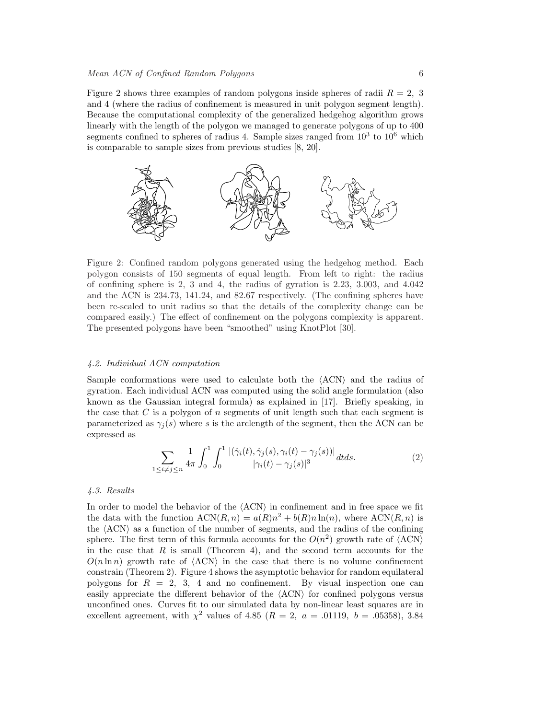Figure 2 shows three examples of random polygons inside spheres of radii  $R = 2, 3$ and 4 (where the radius of confinement is measured in unit polygon segment length). Because the computational complexity of the generalized hedgehog algorithm grows linearly with the length of the polygon we managed to generate polygons of up to 400 segments confined to spheres of radius 4. Sample sizes ranged from  $10^3$  to  $10^6$  which is comparable to sample sizes from previous studies [8, 20].



Figure 2: Confined random polygons generated using the hedgehog method. Each polygon consists of 150 segments of equal length. From left to right: the radius of confining sphere is 2, 3 and 4, the radius of gyration is 2.23, 3.003, and 4.042 and the ACN is 234.73, 141.24, and 82.67 respectively. (The confining spheres have been re-scaled to unit radius so that the details of the complexity change can be compared easily.) The effect of confinement on the polygons complexity is apparent. The presented polygons have been "smoothed" using KnotPlot [30].

## 4.2. Individual ACN computation

Sample conformations were used to calculate both the  $\langle \text{ACN} \rangle$  and the radius of gyration. Each individual ACN was computed using the solid angle formulation (also known as the Gaussian integral formula) as explained in [17]. Briefly speaking, in the case that  $C$  is a polygon of  $n$  segments of unit length such that each segment is parameterized as  $\gamma_i(s)$  where s is the arclength of the segment, then the ACN can be expressed as

$$
\sum_{1 \le i \ne j \le n} \frac{1}{4\pi} \int_0^1 \int_0^1 \frac{|(\dot{\gamma}_i(t), \dot{\gamma}_j(s), \gamma_i(t) - \gamma_j(s))|}{|\gamma_i(t) - \gamma_j(s)|^3} dt ds.
$$
 (2)

#### 4.3. Results

In order to model the behavior of the  $\langle \text{ACN} \rangle$  in confinement and in free space we fit the data with the function  $ACN(R, n) = a(R)n^2 + b(R)n \ln(n)$ , where  $ACN(R, n)$  is the  $\langle \text{ACN} \rangle$  as a function of the number of segments, and the radius of the confining sphere. The first term of this formula accounts for the  $O(n^2)$  growth rate of  $\langle \text{ACN} \rangle$ in the case that  $R$  is small (Theorem 4), and the second term accounts for the  $O(n \ln n)$  growth rate of  $(ACN)$  in the case that there is no volume confinement constrain (Theorem 2). Figure 4 shows the asymptotic behavior for random equilateral polygons for  $R = 2, 3, 4$  and no confinement. By visual inspection one can easily appreciate the different behavior of the  $\langle \text{ACN} \rangle$  for confined polygons versus unconfined ones. Curves fit to our simulated data by non-linear least squares are in excellent agreement, with  $\chi^2$  values of 4.85 ( $R = 2$ ,  $a = .01119$ ,  $b = .05358$ ), 3.84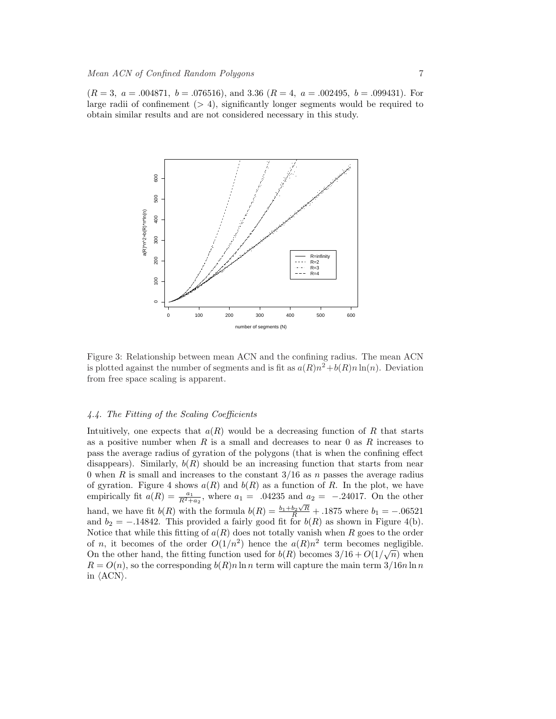$(R = 3, a = .004871, b = .076516),$  and 3.36  $(R = 4, a = .002495, b = .099431)$ . For large radii of confinement  $(> 4)$ , significantly longer segments would be required to obtain similar results and are not considered necessary in this study.



Figure 3: Relationship between mean ACN and the confining radius. The mean ACN is plotted against the number of segments and is fit as  $a(R)n^2 + b(R)n \ln(n)$ . Deviation from free space scaling is apparent.

## 4.4. The Fitting of the Scaling Coefficients

Intuitively, one expects that  $a(R)$  would be a decreasing function of R that starts as a positive number when  $R$  is a small and decreases to near 0 as  $R$  increases to pass the average radius of gyration of the polygons (that is when the confining effect disappears). Similarly,  $b(R)$  should be an increasing function that starts from near 0 when R is small and increases to the constant  $3/16$  as n passes the average radius of gyration. Figure 4 shows  $a(R)$  and  $b(R)$  as a function of R. In the plot, we have empirically fit  $a(R) = \frac{a_1}{R^2 + a_2}$ , where  $a_1 = 0.04235$  and  $a_2 = -0.24017$ . On the other hand, we have fit  $b(R)$  with the formula  $b(R) = \frac{b_1 + b_2\sqrt{R}}{R} + .1875$  where  $b_1 = -.06521$ and  $b_2 = -.14842$ . This provided a fairly good fit for  $b(R)$  as shown in Figure 4(b). Notice that while this fitting of  $a(R)$  does not totally vanish when R goes to the order of n, it becomes of the order  $O(1/n^2)$  hence the  $a(R)n^2$  term becomes negligible. On the other hand, the fitting function used for  $b(R)$  becomes  $3/16 + O(1/\sqrt{n})$  when  $R = O(n)$ , so the corresponding  $b(R)n \ln n$  term will capture the main term  $3/16n \ln n$ in  $\langle \text{ACN} \rangle$ .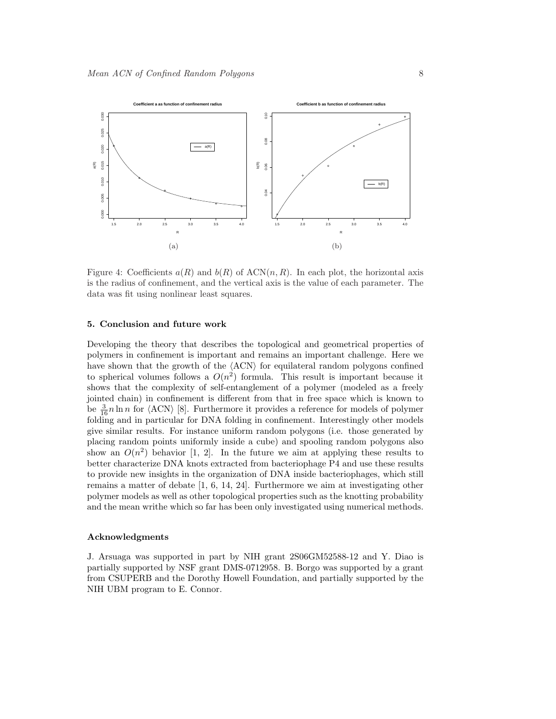

Figure 4: Coefficients  $a(R)$  and  $b(R)$  of  $ACN(n, R)$ . In each plot, the horizontal axis is the radius of confinement, and the vertical axis is the value of each parameter. The data was fit using nonlinear least squares.

### 5. Conclusion and future work

Developing the theory that describes the topological and geometrical properties of polymers in confinement is important and remains an important challenge. Here we have shown that the growth of the  $\langle \text{ACN} \rangle$  for equilateral random polygons confined to spherical volumes follows a  $O(n^2)$  formula. This result is important because it shows that the complexity of self-entanglement of a polymer (modeled as a freely jointed chain) in confinement is different from that in free space which is known to be  $\frac{3}{16}n \ln n$  for  $\langle \text{ACN} \rangle$  [8]. Furthermore it provides a reference for models of polymer folding and in particular for DNA folding in confinement. Interestingly other models give similar results. For instance uniform random polygons (i.e. those generated by placing random points uniformly inside a cube) and spooling random polygons also show an  $O(n^2)$  behavior [1, 2]. In the future we aim at applying these results to better characterize DNA knots extracted from bacteriophage P4 and use these results to provide new insights in the organization of DNA inside bacteriophages, which still remains a matter of debate [1, 6, 14, 24]. Furthermore we aim at investigating other polymer models as well as other topological properties such as the knotting probability and the mean writhe which so far has been only investigated using numerical methods.

### Acknowledgments

J. Arsuaga was supported in part by NIH grant 2S06GM52588-12 and Y. Diao is partially supported by NSF grant DMS-0712958. B. Borgo was supported by a grant from CSUPERB and the Dorothy Howell Foundation, and partially supported by the NIH UBM program to E. Connor.